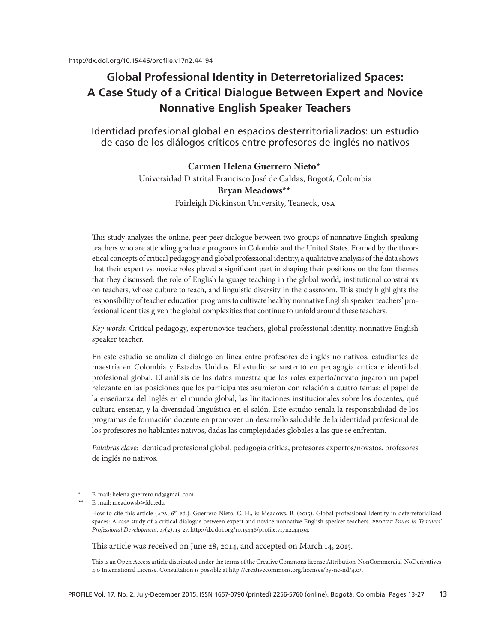# **Global Professional Identity in Deterretorialized Spaces: A Case Study of a Critical Dialogue Between Expert and Novice Nonnative English Speaker Teachers**

Identidad profesional global en espacios desterritorializados: un estudio de caso de los diálogos críticos entre profesores de inglés no nativos

## **Carmen Helena Guerrero Nieto\***<sup>1</sup>

Universidad Distrital Francisco José de Caldas, Bogotá, Colombia **Bryan Meadows**\*\* Fairleigh Dickinson University, Teaneck, USA

This study analyzes the online, peer-peer dialogue between two groups of nonnative English-speaking teachers who are attending graduate programs in Colombia and the United States. Framed by the theoretical concepts of critical pedagogy and global professional identity, a qualitative analysis of the data shows that their expert vs. novice roles played a significant part in shaping their positions on the four themes that they discussed: the role of English language teaching in the global world, institutional constraints on teachers, whose culture to teach, and linguistic diversity in the classroom. This study highlights the responsibility of teacher education programs to cultivate healthy nonnative English speaker teachers' professional identities given the global complexities that continue to unfold around these teachers.

*Key words:* Critical pedagogy, expert/novice teachers, global professional identity, nonnative English speaker teacher.

En este estudio se analiza el diálogo en línea entre profesores de inglés no nativos, estudiantes de maestría en Colombia y Estados Unidos. El estudio se sustentó en pedagogía crítica e identidad profesional global. El análisis de los datos muestra que los roles experto/novato jugaron un papel relevante en las posiciones que los participantes asumieron con relación a cuatro temas: el papel de la enseñanza del inglés en el mundo global, las limitaciones institucionales sobre los docentes, qué cultura enseñar, y la diversidad lingüística en el salón. Este estudio señala la responsabilidad de los programas de formación docente en promover un desarrollo saludable de la identidad profesional de los profesores no hablantes nativos, dadas las complejidades globales a las que se enfrentan.

*Palabras clave:* identidad profesional global, pedagogía crítica, profesores expertos/novatos, profesores de inglés no nativos.

This article was received on June 28, 2014, and accepted on March 14, 2015.

This is an Open Access article distributed under the terms of the Creative Commons license Attribution-NonCommercial-NoDerivatives 4.0 International License. Consultation is possible at [http://creativecommons.org/licenses/by-nc-nd/4.0/.](http://creativecommons.org/licenses/by-nc-nd/4.0/)

<sup>\*</sup> E-mail: [helena.guerrero.ud@gmail.com](mailto:helena.guerrero.ud%40gmail.com?subject=)

E-mail: [meadowsb@fdu.edu](mailto:meadowsb%40fdu.edu?subject=)

How to cite this article (APA, 6<sup>th</sup> ed.): Guerrero Nieto, C. H., & Meadows, B. (2015). Global professional identity in deterretorialized spaces: A case study of a critical dialogue between expert and novice nonnative English speaker teachers. *PROFILE Issues in Teachers' Professional Development, 17*(2), 13-27. [http://dx.doi.org/10.15446/profile.v17n2.44194.](http://dx.doi.org/10.15446/profile.v17n2.44194)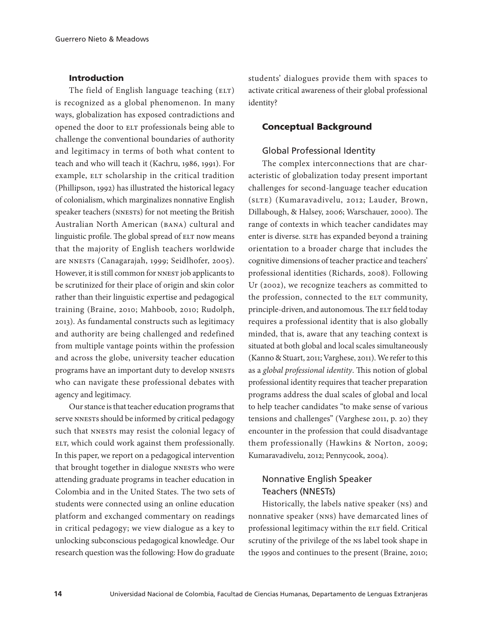## Introduction

The field of English language teaching (ELT) is recognized as a global phenomenon. In many ways, globalization has exposed contradictions and opened the door to ELT professionals being able to challenge the conventional boundaries of authority and legitimacy in terms of both what content to teach and who will teach it (Kachru, 1986, 1991). For example, ELT scholarship in the critical tradition (Phillipson, 1992) has illustrated the historical legacy of colonialism, which marginalizes nonnative English speaker teachers (NNESTs) for not meeting the British Australian North American (BANA) cultural and linguistic profile. The global spread of ELT now means that the majority of English teachers worldwide are NNESTs (Canagarajah, 1999; Seidlhofer, 2005). However, it is still common for NNEST job applicants to be scrutinized for their place of origin and skin color rather than their linguistic expertise and pedagogical training (Braine, 2010; Mahboob, 2010; Rudolph, 2013). As fundamental constructs such as legitimacy and authority are being challenged and redefined from multiple vantage points within the profession and across the globe, university teacher education programs have an important duty to develop NNESTs who can navigate these professional debates with agency and legitimacy.

Our stance is that teacher education programs that serve NNESTs should be informed by critical pedagogy such that NNESTs may resist the colonial legacy of ELT, which could work against them professionally. In this paper, we report on a pedagogical intervention that brought together in dialogue NNESTs who were attending graduate programs in teacher education in Colombia and in the United States. The two sets of students were connected using an online education platform and exchanged commentary on readings in critical pedagogy; we view dialogue as a key to unlocking subconscious pedagogical knowledge. Our research question was the following: How do graduate

students' dialogues provide them with spaces to activate critical awareness of their global professional identity?

## Conceptual Background

## Global Professional Identity

The complex interconnections that are characteristic of globalization today present important challenges for second-language teacher education (SLTE) (Kumaravadivelu, 2012; Lauder, Brown, Dillabough, & Halsey, 2006; Warschauer, 2000). The range of contexts in which teacher candidates may enter is diverse. SLTE has expanded beyond a training orientation to a broader charge that includes the cognitive dimensions of teacher practice and teachers' professional identities (Richards, 2008). Following Ur (2002), we recognize teachers as committed to the profession, connected to the ELT community, principle-driven, and autonomous. The ELT field today requires a professional identity that is also globally minded, that is, aware that any teaching context is situated at both global and local scales simultaneously (Kanno & Stuart, 2011; Varghese, 2011). We refer to this as a *global professional identity*. This notion of global professional identity requires that teacher preparation programs address the dual scales of global and local to help teacher candidates "to make sense of various tensions and challenges" (Varghese 2011, p. 20) they encounter in the profession that could disadvantage them professionally (Hawkins & Norton, 2009; Kumaravadivelu, 2012; Pennycook, 2004).

## Nonnative English Speaker Teachers (NNESTs)

Historically, the labels native speaker (NS) and nonnative speaker (NNS) have demarcated lines of professional legitimacy within the ELT field. Critical scrutiny of the privilege of the NS label took shape in the 1990s and continues to the present (Braine, 2010;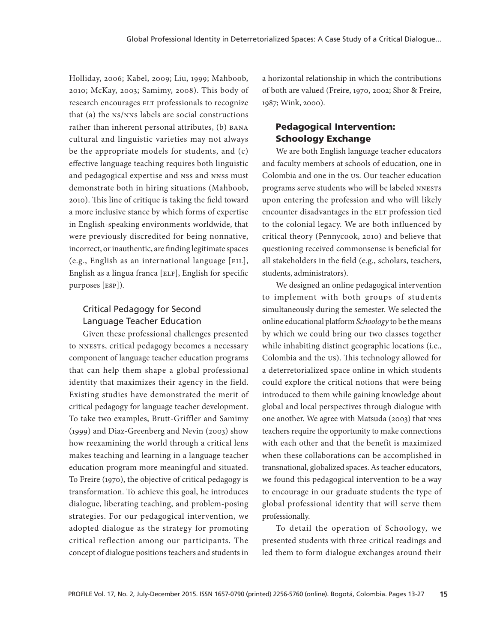Holliday, 2006; Kabel, 2009; Liu, 1999; Mahboob, 2010; McKay, 2003; Samimy, 2008). This body of research encourages ELT professionals to recognize that (a) the NS/NNS labels are social constructions rather than inherent personal attributes, (b) BANA cultural and linguistic varieties may not always be the appropriate models for students, and (c) effective language teaching requires both linguistic and pedagogical expertise and NSS and NNSS must demonstrate both in hiring situations (Mahboob, 2010). This line of critique is taking the field toward a more inclusive stance by which forms of expertise in English-speaking environments worldwide, that were previously discredited for being nonnative, incorrect, or inauthentic, are finding legitimate spaces (e.g., English as an international language [EIL], English as a lingua franca [ELF], English for specific purposes [ESP]).

## Critical Pedagogy for Second Language Teacher Education

Given these professional challenges presented to NNESTs, critical pedagogy becomes a necessary component of language teacher education programs that can help them shape a global professional identity that maximizes their agency in the field. Existing studies have demonstrated the merit of critical pedagogy for language teacher development. To take two examples, Brutt-Griffler and Samimy (1999) and Diaz-Greenberg and Nevin (2003) show how reexamining the world through a critical lens makes teaching and learning in a language teacher education program more meaningful and situated. To Freire (1970), the objective of critical pedagogy is transformation. To achieve this goal, he introduces dialogue, liberating teaching, and problem-posing strategies. For our pedagogical intervention, we adopted dialogue as the strategy for promoting critical reflection among our participants. The concept of dialogue positions teachers and students in

a horizontal relationship in which the contributions of both are valued (Freire, 1970, 2002; Shor & Freire, 1987; Wink, 2000).

## Pedagogical Intervention: Schoology Exchange

We are both English language teacher educators and faculty members at schools of education, one in Colombia and one in the US. Our teacher education programs serve students who will be labeled NNESTs upon entering the profession and who will likely encounter disadvantages in the ELT profession tied to the colonial legacy. We are both influenced by critical theory (Pennycook, 2010) and believe that questioning received commonsense is beneficial for all stakeholders in the field (e.g., scholars, teachers, students, administrators).

We designed an online pedagogical intervention to implement with both groups of students simultaneously during the semester. We selected the online educational platform *Schoology* to be the means by which we could bring our two classes together while inhabiting distinct geographic locations (i.e., Colombia and the US). This technology allowed for a deterretorialized space online in which students could explore the critical notions that were being introduced to them while gaining knowledge about global and local perspectives through dialogue with one another. We agree with Matsuda (2003) that NNS teachers require the opportunity to make connections with each other and that the benefit is maximized when these collaborations can be accomplished in transnational, globalized spaces. As teacher educators, we found this pedagogical intervention to be a way to encourage in our graduate students the type of global professional identity that will serve them professionally.

To detail the operation of Schoology, we presented students with three critical readings and led them to form dialogue exchanges around their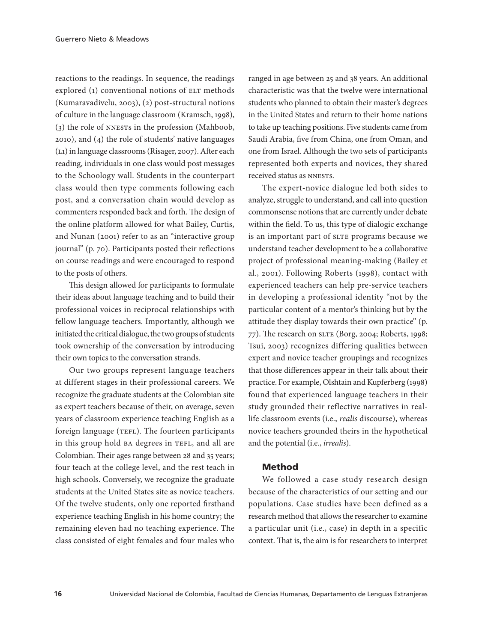reactions to the readings. In sequence, the readings explored (1) conventional notions of ELT methods (Kumaravadivelu, 2003), (2) post-structural notions of culture in the language classroom (Kramsch, 1998), (3) the role of NNESTs in the profession (Mahboob, 2010), and (4) the role of students' native languages (L1) in language classrooms (Risager, 2007). After each reading, individuals in one class would post messages to the Schoology wall. Students in the counterpart class would then type comments following each post, and a conversation chain would develop as commenters responded back and forth. The design of the online platform allowed for what Bailey, Curtis, and Nunan (2001) refer to as an "interactive group journal" (p. 70). Participants posted their reflections on course readings and were encouraged to respond to the posts of others.

This design allowed for participants to formulate their ideas about language teaching and to build their professional voices in reciprocal relationships with fellow language teachers. Importantly, although we initiated the critical dialogue, the two groups of students took ownership of the conversation by introducing their own topics to the conversation strands.

Our two groups represent language teachers at different stages in their professional careers. We recognize the graduate students at the Colombian site as expert teachers because of their, on average, seven years of classroom experience teaching English as a foreign language (TEFL). The fourteen participants in this group hold BA degrees in TEFL, and all are Colombian. Their ages range between 28 and 35 years; four teach at the college level, and the rest teach in high schools. Conversely, we recognize the graduate students at the United States site as novice teachers. Of the twelve students, only one reported firsthand experience teaching English in his home country; the remaining eleven had no teaching experience. The class consisted of eight females and four males who

ranged in age between 25 and 38 years. An additional characteristic was that the twelve were international students who planned to obtain their master's degrees in the United States and return to their home nations to take up teaching positions. Five students came from Saudi Arabia, five from China, one from Oman, and one from Israel. Although the two sets of participants represented both experts and novices, they shared received status as NNESTs.

The expert-novice dialogue led both sides to analyze, struggle to understand, and call into question commonsense notions that are currently under debate within the field. To us, this type of dialogic exchange is an important part of SLTE programs because we understand teacher development to be a collaborative project of professional meaning-making (Bailey et al., 2001). Following Roberts (1998), contact with experienced teachers can help pre-service teachers in developing a professional identity "not by the particular content of a mentor's thinking but by the attitude they display towards their own practice" (p. 77). The research on SLTE (Borg, 2004; Roberts, 1998; Tsui, 2003) recognizes differing qualities between expert and novice teacher groupings and recognizes that those differences appear in their talk about their practice. For example, Olshtain and Kupferberg (1998) found that experienced language teachers in their study grounded their reflective narratives in reallife classroom events (i.e., *realis* discourse), whereas novice teachers grounded theirs in the hypothetical and the potential (i.e., *irrealis*).

#### Method

We followed a case study research design because of the characteristics of our setting and our populations. Case studies have been defined as a research method that allows the researcher to examine a particular unit (i.e., case) in depth in a specific context. That is, the aim is for researchers to interpret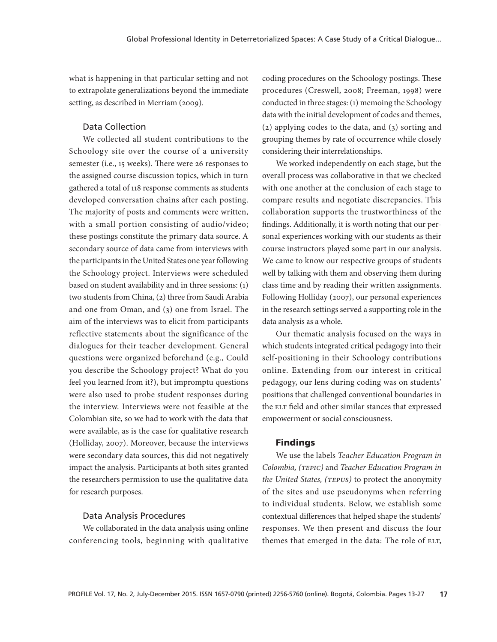what is happening in that particular setting and not to extrapolate generalizations beyond the immediate setting, as described in Merriam (2009).

## Data Collection

We collected all student contributions to the Schoology site over the course of a university semester (i.e., 15 weeks). There were 26 responses to the assigned course discussion topics, which in turn gathered a total of 118 response comments as students developed conversation chains after each posting. The majority of posts and comments were written, with a small portion consisting of audio/video; these postings constitute the primary data source. A secondary source of data came from interviews with the participants in the United States one year following the Schoology project. Interviews were scheduled based on student availability and in three sessions: (1) two students from China, (2) three from Saudi Arabia and one from Oman, and (3) one from Israel. The aim of the interviews was to elicit from participants reflective statements about the significance of the dialogues for their teacher development. General questions were organized beforehand (e.g., Could you describe the Schoology project? What do you feel you learned from it?), but impromptu questions were also used to probe student responses during the interview. Interviews were not feasible at the Colombian site, so we had to work with the data that were available, as is the case for qualitative research (Holliday, 2007). Moreover, because the interviews were secondary data sources, this did not negatively impact the analysis. Participants at both sites granted the researchers permission to use the qualitative data for research purposes.

#### Data Analysis Procedures

We collaborated in the data analysis using online conferencing tools, beginning with qualitative

coding procedures on the Schoology postings. These procedures (Creswell, 2008; Freeman, 1998) were conducted in three stages: (1) memoing the Schoology data with the initial development of codes and themes, (2) applying codes to the data, and (3) sorting and grouping themes by rate of occurrence while closely considering their interrelationships.

We worked independently on each stage, but the overall process was collaborative in that we checked with one another at the conclusion of each stage to compare results and negotiate discrepancies. This collaboration supports the trustworthiness of the findings. Additionally, it is worth noting that our personal experiences working with our students as their course instructors played some part in our analysis. We came to know our respective groups of students well by talking with them and observing them during class time and by reading their written assignments. Following Holliday (2007), our personal experiences in the research settings served a supporting role in the data analysis as a whole.

Our thematic analysis focused on the ways in which students integrated critical pedagogy into their self-positioning in their Schoology contributions online. Extending from our interest in critical pedagogy, our lens during coding was on students' positions that challenged conventional boundaries in the ELT field and other similar stances that expressed empowerment or social consciousness.

#### Findings

We use the labels *Teacher Education Program in Colombia, (TEPIC)* and *Teacher Education Program in the United States, (TEPUS)* to protect the anonymity of the sites and use pseudonyms when referring to individual students. Below, we establish some contextual differences that helped shape the students' responses. We then present and discuss the four themes that emerged in the data: The role of ELT,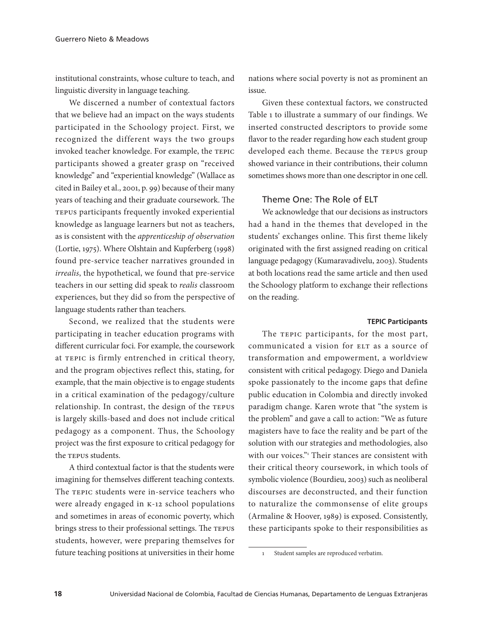institutional constraints, whose culture to teach, and linguistic diversity in language teaching.

We discerned a number of contextual factors that we believe had an impact on the ways students participated in the Schoology project. First, we recognized the different ways the two groups invoked teacher knowledge. For example, the TEPIC participants showed a greater grasp on "received knowledge" and "experiential knowledge" (Wallace as cited in Bailey et al., 2001, p. 99) because of their many years of teaching and their graduate coursework. The TEPUS participants frequently invoked experiential knowledge as language learners but not as teachers, as is consistent with the *apprenticeship of observation* (Lortie, 1975). Where Olshtain and Kupferberg (1998) found pre-service teacher narratives grounded in *irrealis*, the hypothetical, we found that pre-service teachers in our setting did speak to *realis* classroom experiences, but they did so from the perspective of language students rather than teachers.

Second, we realized that the students were participating in teacher education programs with different curricular foci. For example, the coursework at TEPIC is firmly entrenched in critical theory, and the program objectives reflect this, stating, for example, that the main objective is to engage students in a critical examination of the pedagogy/culture relationship. In contrast, the design of the TEPUS is largely skills-based and does not include critical pedagogy as a component. Thus, the Schoology project was the first exposure to critical pedagogy for the TEPUS students.

A third contextual factor is that the students were imagining for themselves different teaching contexts. The TEPIC students were in-service teachers who were already engaged in K-12 school populations and sometimes in areas of economic poverty, which brings stress to their professional settings. The TEPUS students, however, were preparing themselves for future teaching positions at universities in their home

nations where social poverty is not as prominent an issue.

Given these contextual factors, we constructed Table 1 to illustrate a summary of our findings. We inserted constructed descriptors to provide some flavor to the reader regarding how each student group developed each theme. Because the TEPUS group showed variance in their contributions, their column sometimes shows more than one descriptor in one cell.

### Theme One: The Role of ELT

We acknowledge that our decisions as instructors had a hand in the themes that developed in the students' exchanges online. This first theme likely originated with the first assigned reading on critical language pedagogy (Kumaravadivelu, 2003). Students at both locations read the same article and then used the Schoology platform to exchange their reflections on the reading.

#### **TEPIC Participants**

The TEPIC participants, for the most part, communicated a vision for ELT as a source of transformation and empowerment, a worldview consistent with critical pedagogy. Diego and Daniela spoke passionately to the income gaps that define public education in Colombia and directly invoked paradigm change. Karen wrote that "the system is the problem" and gave a call to action: "We as future magisters have to face the reality and be part of the solution with our strategies and methodologies, also with our voices." Their stances are consistent with their critical theory coursework, in which tools of symbolic violence (Bourdieu, 2003) such as neoliberal discourses are deconstructed, and their function to naturalize the commonsense of elite groups (Armaline & Hoover, 1989) is exposed. Consistently, these participants spoke to their responsibilities as

<sup>1</sup> Student samples are reproduced verbatim.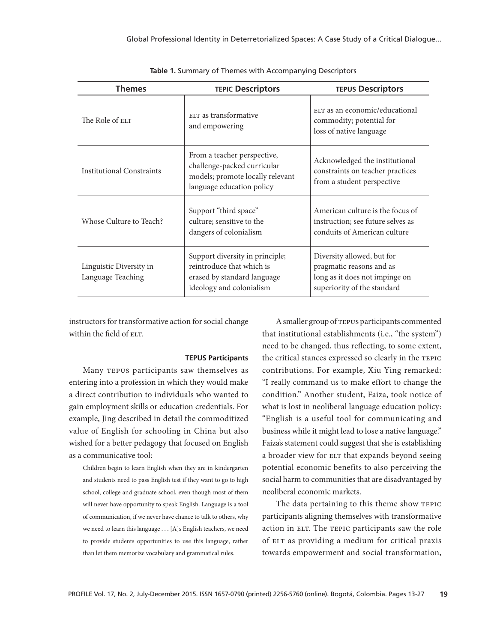| <b>Themes</b>                                | <b>TEPIC Descriptors</b>                                                                                                    | <b>TEPUS Descriptors</b>                                                                                                |
|----------------------------------------------|-----------------------------------------------------------------------------------------------------------------------------|-------------------------------------------------------------------------------------------------------------------------|
| The Role of ELT                              | ELT as transformative<br>and empowering                                                                                     | ELT as an economic/educational<br>commodity; potential for<br>loss of native language                                   |
| Institutional Constraints                    | From a teacher perspective,<br>challenge-packed curricular<br>models; promote locally relevant<br>language education policy | Acknowledged the institutional<br>constraints on teacher practices<br>from a student perspective                        |
| Whose Culture to Teach?                      | Support "third space"<br>culture; sensitive to the<br>dangers of colonialism                                                | American culture is the focus of<br>instruction; see future selves as<br>conduits of American culture                   |
| Linguistic Diversity in<br>Language Teaching | Support diversity in principle;<br>reintroduce that which is<br>erased by standard language<br>ideology and colonialism     | Diversity allowed, but for<br>pragmatic reasons and as<br>long as it does not impinge on<br>superiority of the standard |

**Table 1.** Summary of Themes with Accompanying Descriptors

instructors for transformative action for social change within the field of ELT.

#### **TEPUS Participants**

Many TEPUS participants saw themselves as entering into a profession in which they would make a direct contribution to individuals who wanted to gain employment skills or education credentials. For example, Jing described in detail the commoditized value of English for schooling in China but also wished for a better pedagogy that focused on English as a communicative tool:

Children begin to learn English when they are in kindergarten and students need to pass English test if they want to go to high school, college and graduate school, even though most of them will never have opportunity to speak English. Language is a tool of communication, if we never have chance to talk to others, why we need to learn this language . . . [A]s English teachers, we need to provide students opportunities to use this language, rather than let them memorize vocabulary and grammatical rules.

A smaller group of TEPUS participants commented that institutional establishments (i.e., "the system") need to be changed, thus reflecting, to some extent, the critical stances expressed so clearly in the TEPIC contributions. For example, Xiu Ying remarked: "I really command us to make effort to change the condition." Another student, Faiza, took notice of what is lost in neoliberal language education policy: "English is a useful tool for communicating and business while it might lead to lose a native language." Faiza's statement could suggest that she is establishing a broader view for ELT that expands beyond seeing potential economic benefits to also perceiving the social harm to communities that are disadvantaged by neoliberal economic markets.

The data pertaining to this theme show TEPIC participants aligning themselves with transformative action in ELT. The TEPIC participants saw the role of ELT as providing a medium for critical praxis towards empowerment and social transformation,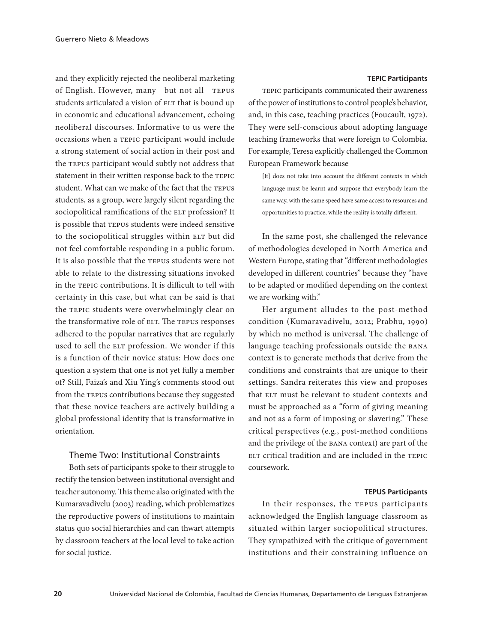and they explicitly rejected the neoliberal marketing of English. However, many—but not all—TEPUS students articulated a vision of ELT that is bound up in economic and educational advancement, echoing neoliberal discourses. Informative to us were the occasions when a TEPIC participant would include a strong statement of social action in their post and the TEPUS participant would subtly not address that statement in their written response back to the TEPIC student. What can we make of the fact that the TEPUS students, as a group, were largely silent regarding the sociopolitical ramifications of the ELT profession? It is possible that TEPUS students were indeed sensitive to the sociopolitical struggles within ELT but did not feel comfortable responding in a public forum. It is also possible that the TEPUS students were not able to relate to the distressing situations invoked in the TEPIC contributions. It is difficult to tell with certainty in this case, but what can be said is that the TEPIC students were overwhelmingly clear on the transformative role of ELT. The TEPUS responses adhered to the popular narratives that are regularly used to sell the ELT profession. We wonder if this is a function of their novice status: How does one question a system that one is not yet fully a member of? Still, Faiza's and Xiu Ying's comments stood out from the TEPUS contributions because they suggested that these novice teachers are actively building a global professional identity that is transformative in orientation.

## Theme Two: Institutional Constraints

Both sets of participants spoke to their struggle to rectify the tension between institutional oversight and teacher autonomy. This theme also originated with the Kumaravadivelu (2003) reading, which problematizes the reproductive powers of institutions to maintain status quo social hierarchies and can thwart attempts by classroom teachers at the local level to take action for social justice.

#### **TEPIC Participants**

TEPIC participants communicated their awareness of the power of institutions to control people's behavior, and, in this case, teaching practices (Foucault, 1972). They were self-conscious about adopting language teaching frameworks that were foreign to Colombia. For example, Teresa explicitly challenged the Common European Framework because

[It] does not take into account the different contexts in which language must be learnt and suppose that everybody learn the same way, with the same speed have same access to resources and opportunities to practice, while the reality is totally different.

In the same post, she challenged the relevance of methodologies developed in North America and Western Europe, stating that "different methodologies developed in different countries" because they "have to be adapted or modified depending on the context we are working with."

Her argument alludes to the post-method condition (Kumaravadivelu, 2012; Prabhu, 1990) by which no method is universal. The challenge of language teaching professionals outside the BANA context is to generate methods that derive from the conditions and constraints that are unique to their settings. Sandra reiterates this view and proposes that ELT must be relevant to student contexts and must be approached as a "form of giving meaning and not as a form of imposing or slavering." These critical perspectives (e.g., post-method conditions and the privilege of the BANA context) are part of the ELT critical tradition and are included in the TEPIC coursework.

#### **TEPUS Participants**

In their responses, the TEPUS participants acknowledged the English language classroom as situated within larger sociopolitical structures. They sympathized with the critique of government institutions and their constraining influence on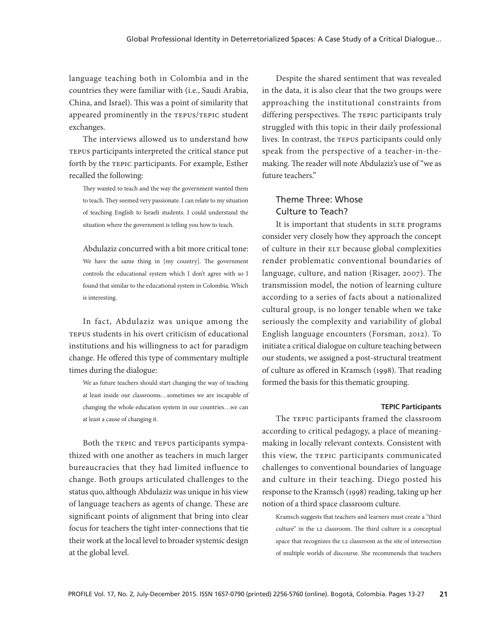language teaching both in Colombia and in the countries they were familiar with (i.e., Saudi Arabia, China, and Israel). This was a point of similarity that appeared prominently in the TEPUS/TEPIC student exchanges.

The interviews allowed us to understand how TEPUS participants interpreted the critical stance put forth by the TEPIC participants. For example, Esther recalled the following:

They wanted to teach and the way the government wanted them to teach. They seemed very passionate. I can relate to my situation of teaching English to Israeli students. I could understand the situation where the government is telling you how to teach.

Abdulaziz concurred with a bit more critical tone: We have the same thing in [my country]. The government controls the educational system which I don't agree with so I found that similar to the educational system in Colombia. Which is interesting.

In fact, Abdulaziz was unique among the TEPUS students in his overt criticism of educational institutions and his willingness to act for paradigm change. He offered this type of commentary multiple times during the dialogue:

We as future teachers should start changing the way of teaching at least inside our classrooms…sometimes we are incapable of changing the whole education system in our countries…we can at least a cause of changing it.

Both the TEPIC and TEPUS participants sympathized with one another as teachers in much larger bureaucracies that they had limited influence to change. Both groups articulated challenges to the status quo, although Abdulaziz was unique in his view of language teachers as agents of change. These are significant points of alignment that bring into clear focus for teachers the tight inter-connections that tie their work at the local level to broader systemic design at the global level.

Despite the shared sentiment that was revealed in the data, it is also clear that the two groups were approaching the institutional constraints from differing perspectives. The TEPIC participants truly struggled with this topic in their daily professional lives. In contrast, the TEPUS participants could only speak from the perspective of a teacher-in-themaking. The reader will note Abdulaziz's use of "we as future teachers."

## Theme Three: Whose Culture to Teach?

It is important that students in SLTE programs consider very closely how they approach the concept of culture in their ELT because global complexities render problematic conventional boundaries of language, culture, and nation (Risager, 2007). The transmission model, the notion of learning culture according to a series of facts about a nationalized cultural group, is no longer tenable when we take seriously the complexity and variability of global English language encounters (Forsman, 2012). To initiate a critical dialogue on culture teaching between our students, we assigned a post-structural treatment of culture as offered in Kramsch (1998). That reading formed the basis for this thematic grouping.

#### **TEPIC Participants**

The TEPIC participants framed the classroom according to critical pedagogy, a place of meaningmaking in locally relevant contexts. Consistent with this view, the TEPIC participants communicated challenges to conventional boundaries of language and culture in their teaching. Diego posted his response to the Kramsch (1998) reading, taking up her notion of a third space classroom culture.

Kramsch suggests that teachers and learners must create a "third culture" in the L2 classroom. The third culture is a conceptual space that recognizes the L2 classroom as the site of intersection of multiple worlds of discourse. She recommends that teachers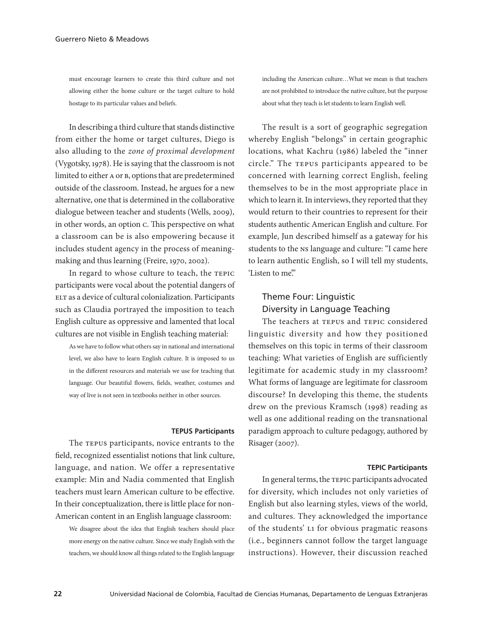must encourage learners to create this third culture and not allowing either the home culture or the target culture to hold hostage to its particular values and beliefs.

In describing a third culture that stands distinctive from either the home or target cultures, Diego is also alluding to the *zone of proximal development* (Vygotsky, 1978). He is saying that the classroom is not limited to either A or B, options that are predetermined outside of the classroom. Instead, he argues for a new alternative, one that is determined in the collaborative dialogue between teacher and students (Wells, 2009), in other words, an option C. This perspective on what a classroom can be is also empowering because it includes student agency in the process of meaningmaking and thus learning (Freire, 1970, 2002).

In regard to whose culture to teach, the TEPIC participants were vocal about the potential dangers of ELT as a device of cultural colonialization. Participants such as Claudia portrayed the imposition to teach English culture as oppressive and lamented that local cultures are not visible in English teaching material:

As we have to follow what others say in national and international level, we also have to learn English culture. It is imposed to us in the different resources and materials we use for teaching that language. Our beautiful flowers, fields, weather, costumes and way of live is not seen in textbooks neither in other sources.

#### **TEPUS Participants**

The TEPUS participants, novice entrants to the field, recognized essentialist notions that link culture, language, and nation. We offer a representative example: Min and Nadia commented that English teachers must learn American culture to be effective. In their conceptualization, there is little place for non-American content in an English language classroom:

We disagree about the idea that English teachers should place more energy on the native culture. Since we study English with the teachers, we should know all things related to the English language including the American culture…What we mean is that teachers are not prohibited to introduce the native culture, but the purpose about what they teach is let students to learn English well.

The result is a sort of geographic segregation whereby English "belongs" in certain geographic locations, what Kachru (1986) labeled the "inner circle." The TEPUS participants appeared to be concerned with learning correct English, feeling themselves to be in the most appropriate place in which to learn it. In interviews, they reported that they would return to their countries to represent for their students authentic American English and culture. For example, Jun described himself as a gateway for his students to the NS language and culture: "I came here to learn authentic English, so I will tell my students, 'Listen to me"

## Theme Four: Linguistic Diversity in Language Teaching

The teachers at TEPUS and TEPIC considered linguistic diversity and how they positioned themselves on this topic in terms of their classroom teaching: What varieties of English are sufficiently legitimate for academic study in my classroom? What forms of language are legitimate for classroom discourse? In developing this theme, the students drew on the previous Kramsch (1998) reading as well as one additional reading on the transnational paradigm approach to culture pedagogy, authored by Risager (2007).

#### **TEPIC Participants**

In general terms, the TEPIC participants advocated for diversity, which includes not only varieties of English but also learning styles, views of the world, and cultures. They acknowledged the importance of the students' L1 for obvious pragmatic reasons (i.e., beginners cannot follow the target language instructions). However, their discussion reached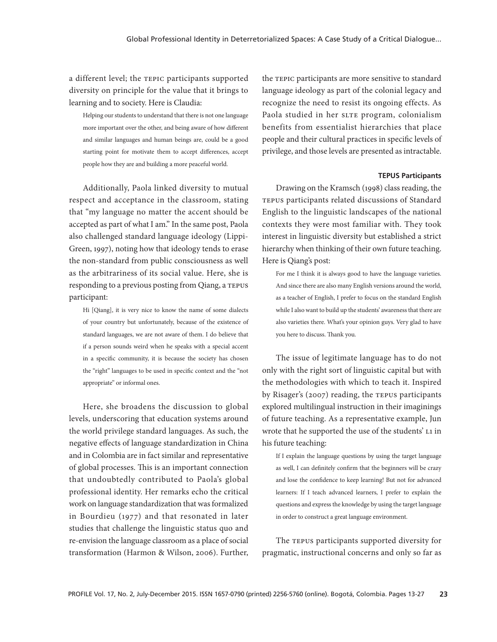a different level; the TEPIC participants supported diversity on principle for the value that it brings to learning and to society. Here is Claudia:

Helping our students to understand that there is not one language more important over the other, and being aware of how different and similar languages and human beings are, could be a good starting point for motivate them to accept differences, accept people how they are and building a more peaceful world.

Additionally, Paola linked diversity to mutual respect and acceptance in the classroom, stating that "my language no matter the accent should be accepted as part of what I am." In the same post, Paola also challenged standard language ideology (Lippi-Green, 1997), noting how that ideology tends to erase the non-standard from public consciousness as well as the arbitrariness of its social value. Here, she is responding to a previous posting from Qiang, a TEPUS participant:

Hi [Qiang], it is very nice to know the name of some dialects of your country but unfortunately, because of the existence of standard languages, we are not aware of them. I do believe that if a person sounds weird when he speaks with a special accent in a specific community, it is because the society has chosen the "right" languages to be used in specific context and the "not appropriate" or informal ones.

Here, she broadens the discussion to global levels, underscoring that education systems around the world privilege standard languages. As such, the negative effects of language standardization in China and in Colombia are in fact similar and representative of global processes. This is an important connection that undoubtedly contributed to Paola's global professional identity. Her remarks echo the critical work on language standardization that was formalized in Bourdieu (1977) and that resonated in later studies that challenge the linguistic status quo and re-envision the language classroom as a place of social transformation (Harmon & Wilson, 2006). Further, the TEPIC participants are more sensitive to standard language ideology as part of the colonial legacy and recognize the need to resist its ongoing effects. As Paola studied in her SLTE program, colonialism benefits from essentialist hierarchies that place people and their cultural practices in specific levels of privilege, and those levels are presented as intractable.

#### **TEPUS Participants**

Drawing on the Kramsch (1998) class reading, the TEPUS participants related discussions of Standard English to the linguistic landscapes of the national contexts they were most familiar with. They took interest in linguistic diversity but established a strict hierarchy when thinking of their own future teaching. Here is Qiang's post:

For me I think it is always good to have the language varieties. And since there are also many English versions around the world, as a teacher of English, I prefer to focus on the standard English while I also want to build up the students' awareness that there are also varieties there. What's your opinion guys. Very glad to have you here to discuss. Thank you.

The issue of legitimate language has to do not only with the right sort of linguistic capital but with the methodologies with which to teach it. Inspired by Risager's (2007) reading, the TEPUS participants explored multilingual instruction in their imaginings of future teaching. As a representative example, Jun wrote that he supported the use of the students' L1 in his future teaching:

If I explain the language questions by using the target language as well, I can definitely confirm that the beginners will be crazy and lose the confidence to keep learning! But not for advanced learners: If I teach advanced learners, I prefer to explain the questions and express the knowledge by using the target language in order to construct a great language environment.

The TEPUS participants supported diversity for pragmatic, instructional concerns and only so far as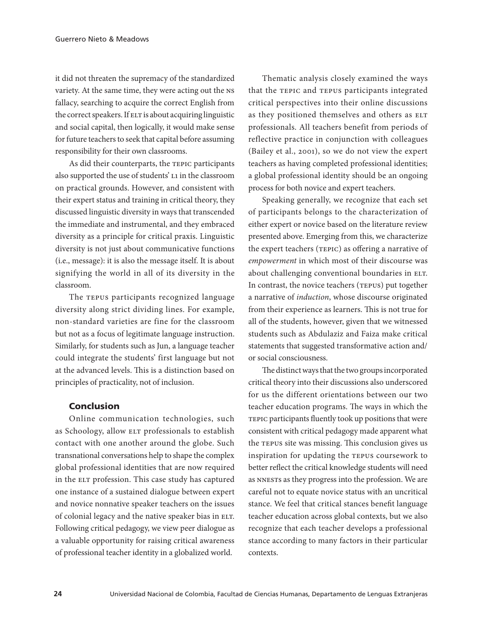it did not threaten the supremacy of the standardized variety. At the same time, they were acting out the NS fallacy, searching to acquire the correct English from the correct speakers. If ELT is about acquiring linguistic and social capital, then logically, it would make sense for future teachers to seek that capital before assuming responsibility for their own classrooms.

As did their counterparts, the TEPIC participants also supported the use of students' L1 in the classroom on practical grounds. However, and consistent with their expert status and training in critical theory, they discussed linguistic diversity in ways that transcended the immediate and instrumental, and they embraced diversity as a principle for critical praxis. Linguistic diversity is not just about communicative functions (i.e., message): it is also the message itself. It is about signifying the world in all of its diversity in the classroom.

The TEPUS participants recognized language diversity along strict dividing lines. For example, non-standard varieties are fine for the classroom but not as a focus of legitimate language instruction. Similarly, for students such as Jun, a language teacher could integrate the students' first language but not at the advanced levels. This is a distinction based on principles of practicality, not of inclusion.

### Conclusion

Online communication technologies, such as Schoology, allow ELT professionals to establish contact with one another around the globe. Such transnational conversations help to shape the complex global professional identities that are now required in the ELT profession. This case study has captured one instance of a sustained dialogue between expert and novice nonnative speaker teachers on the issues of colonial legacy and the native speaker bias in ELT. Following critical pedagogy, we view peer dialogue as a valuable opportunity for raising critical awareness of professional teacher identity in a globalized world.

Thematic analysis closely examined the ways that the TEPIC and TEPUS participants integrated critical perspectives into their online discussions as they positioned themselves and others as ELT professionals. All teachers benefit from periods of reflective practice in conjunction with colleagues (Bailey et al., 2001), so we do not view the expert teachers as having completed professional identities; a global professional identity should be an ongoing process for both novice and expert teachers.

Speaking generally, we recognize that each set of participants belongs to the characterization of either expert or novice based on the literature review presented above. Emerging from this, we characterize the expert teachers (TEPIC) as offering a narrative of *empowerment* in which most of their discourse was about challenging conventional boundaries in ELT. In contrast, the novice teachers (TEPUS) put together a narrative of *induction*, whose discourse originated from their experience as learners. This is not true for all of the students, however, given that we witnessed students such as Abdulaziz and Faiza make critical statements that suggested transformative action and/ or social consciousness.

The distinct ways that the two groups incorporated critical theory into their discussions also underscored for us the different orientations between our two teacher education programs. The ways in which the TEPIC participants fluently took up positions that were consistent with critical pedagogy made apparent what the TEPUS site was missing. This conclusion gives us inspiration for updating the TEPUS coursework to better reflect the critical knowledge students will need as NNESTs as they progress into the profession. We are careful not to equate novice status with an uncritical stance. We feel that critical stances benefit language teacher education across global contexts, but we also recognize that each teacher develops a professional stance according to many factors in their particular contexts.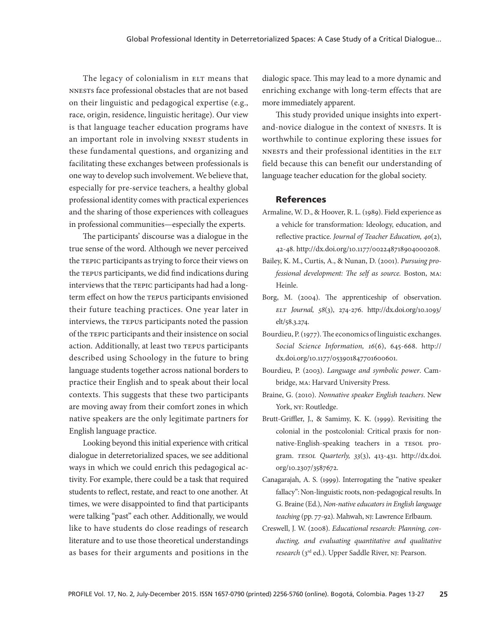The legacy of colonialism in ELT means that NNESTs face professional obstacles that are not based on their linguistic and pedagogical expertise (e.g., race, origin, residence, linguistic heritage). Our view is that language teacher education programs have an important role in involving NNEST students in these fundamental questions, and organizing and facilitating these exchanges between professionals is one way to develop such involvement. We believe that, especially for pre-service teachers, a healthy global professional identity comes with practical experiences and the sharing of those experiences with colleagues in professional communities—especially the experts.

The participants' discourse was a dialogue in the true sense of the word. Although we never perceived the TEPIC participants as trying to force their views on the TEPUS participants, we did find indications during interviews that the TEPIC participants had had a longterm effect on how the TEPUS participants envisioned their future teaching practices. One year later in interviews, the TEPUS participants noted the passion of the TEPIC participants and their insistence on social action. Additionally, at least two TEPUS participants described using Schoology in the future to bring language students together across national borders to practice their English and to speak about their local contexts. This suggests that these two participants are moving away from their comfort zones in which native speakers are the only legitimate partners for English language practice.

Looking beyond this initial experience with critical dialogue in deterretorialized spaces, we see additional ways in which we could enrich this pedagogical activity. For example, there could be a task that required students to reflect, restate, and react to one another. At times, we were disappointed to find that participants were talking "past" each other. Additionally, we would like to have students do close readings of research literature and to use those theoretical understandings as bases for their arguments and positions in the dialogic space. This may lead to a more dynamic and enriching exchange with long-term effects that are more immediately apparent.

This study provided unique insights into expertand-novice dialogue in the context of NNESTs. It is worthwhile to continue exploring these issues for NNESTs and their professional identities in the ELT field because this can benefit our understanding of language teacher education for the global society.

#### References

- Armaline, W. D., & Hoover, R. L. (1989). Field experience as a vehicle for transformation: Ideology, education, and reflective practice. *Journal of Teacher Education, 40*(2), 42-48. http://dx.doi.org/10.1177/002248718904000208.
- Bailey, K. M., Curtis, A., & Nunan, D. (2001). *Pursuing professional development: The self as source.* Boston, MA: Heinle.
- Borg, M. (2004). The apprenticeship of observation. *ELT Journal, 58*(3), 274-276. http://dx.doi.org/10.1093/ elt/58.3.274.
- Bourdieu, P. (1977). The economics of linguistic exchanges. *Social Science Information, 16*(6), 645-668. http:// dx.doi.org/10.1177/053901847701600601.
- Bourdieu, P. (2003). *Language and symbolic power*. Cambridge, MA: Harvard University Press.
- Braine, G. (2010). *Nonnative speaker English teachers*. New York, NY: Routledge.
- Brutt-Griffler, J., & Samimy, K. K. (1999). Revisiting the colonial in the postcolonial: Critical praxis for nonnative-English-speaking teachers in a TESOL program. *TESOL Quarterly, 33*(3), 413-431. http://dx.doi. org/10.2307/3587672.
- Canagarajah, A. S. (1999). Interrogating the "native speaker fallacy": Non-linguistic roots, non-pedagogical results. In G. Braine (Ed.), *Non-native educators in English language teaching* (pp. 77-92). Mahwah, NJ: Lawrence Erlbaum.
- Creswell, J. W. (2008). *Educational research: Planning, conducting, and evaluating quantitative and qualitative research* (3rd ed.). Upper Saddle River, NJ: Pearson.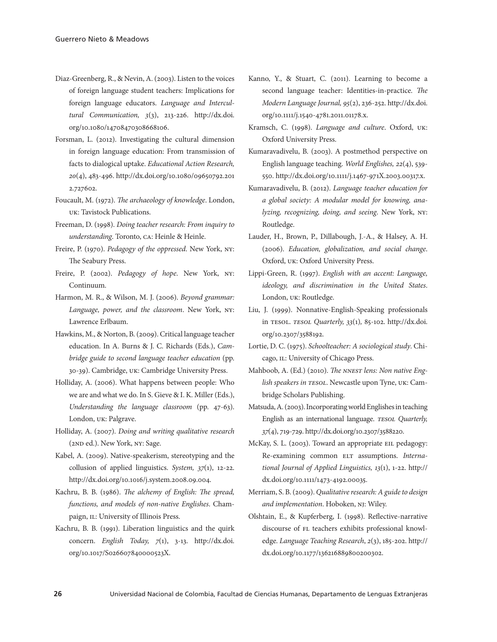- Diaz-Greenberg, R., & Nevin, A. (2003). Listen to the voices of foreign language student teachers: Implications for foreign language educators. *Language and Intercultural Communication, 3*(3), 213-226. http://dx.doi. org/10.1080/14708470308668106.
- Forsman, L. (2012). Investigating the cultural dimension in foreign language education: From transmission of facts to dialogical uptake. *Educational Action Research, 20*(4), 483-496. http://dx.doi.org/10.1080/09650792.201 2.727602.
- Foucault, M. (1972). *The archaeology of knowledge*. London, UK: Tavistock Publications.
- Freeman, D. (1998). *Doing teacher research: From inquiry to understanding*. Toronto, CA: Heinle & Heinle.
- Freire, P. (1970). *Pedagogy of the oppressed*. New York, NY: The Seabury Press.
- Freire, P. (2002). *Pedagogy of hope*. New York, NY: Continuum.
- Harmon, M. R., & Wilson, M. J. (2006). *Beyond grammar: Language, power, and the classroom*. New York, NY: Lawrence Erlbaum.
- Hawkins, M., & Norton, B. (2009). Critical language teacher education. In A. Burns & J. C. Richards (Eds.), *Cambridge guide to second language teacher education* (pp. 30-39). Cambridge, UK: Cambridge University Press.
- Holliday, A. (2006). What happens between people: Who we are and what we do. In S. Gieve & I. K. Miller (Eds.), *Understanding the language classroom* (pp. 47-63). London, UK: Palgrave.
- Holliday, A. (2007). *Doing and writing qualitative research* (2ND ed.). New York, NY: Sage.
- Kabel, A. (2009). Native-speakerism, stereotyping and the collusion of applied linguistics. *System, 37*(1), 12-22. http://dx.doi.org/10.1016/j.system.2008.09.004.
- Kachru, B. B. (1986). *The alchemy of English: The spread, functions, and models of non-native Englishes*. Champaign, IL: University of Illinois Press.
- Kachru, B. B. (1991). Liberation linguistics and the quirk concern. *English Today, 7*(1), 3-13. http://dx.doi. org/10.1017/S026607840000523X.
- Kanno, Y., & Stuart, C. (2011). Learning to become a second language teacher: Identities-in-practice. *The Modern Language Journal, 95*(2), 236-252. http://dx.doi. org/10.1111/j.1540-4781.2011.01178.x.
- Kramsch, C. (1998). *Language and culture*. Oxford, UK: Oxford University Press.
- Kumaravadivelu, B. (2003). A postmethod perspective on English language teaching. *World Englishes, 22*(4), 539- 550. http://dx.doi.org/10.1111/j.1467-971X.2003.00317.x.
- Kumaravadivelu, B. (2012). *Language teacher education for a global society: A modular model for knowing, analyzing, recognizing, doing, and seeing*. New York, NY: Routledge.
- Lauder, H., Brown, P., Dillabough, J.-A., & Halsey, A. H. (2006). *Education, globalization, and social change*. Oxford, UK: Oxford University Press.
- Lippi-Green, R. (1997). *English with an accent: Language, ideology, and discrimination in the United States*. London, UK: Routledge.
- Liu, J. (1999). Nonnative-English-Speaking professionals in TESOL. *TESOL Quarterly, 33*(1)*,* 85-102. http://dx.doi. org/10.2307/3588192.
- Lortie, D. C. (1975). *Schoolteacher: A sociological study*. Chicago, IL: University of Chicago Press.
- Mahboob, A. (Ed.) (2010). *The NNEST lens: Non native English speakers in TESOL*. Newcastle upon Tyne, UK: Cambridge Scholars Publishing.
- Matsuda, A. (2003). Incorporating world Englishes in teaching English as an international language. *TESOL Quarterly, 37*(4), 719-729. http://dx.doi.org/10.2307/3588220.
- McKay, S. L. (2003). Toward an appropriate EIL pedagogy: Re-examining common ELT assumptions. *International Journal of Applied Linguistics, 13*(1), 1-22. http:// dx.doi.org/10.1111/1473-4192.00035.
- Merriam, S. B. (2009). *Qualitative research: A guide to design and implementation*. Hoboken, NJ: Wiley.
- Olshtain, E., & Kupferberg, I. (1998). Reflective-narrative discourse of FL teachers exhibits professional knowledge. *Language Teaching Research*, *2*(3), 185-202. http:// dx.doi.org/10.1177/136216889800200302.